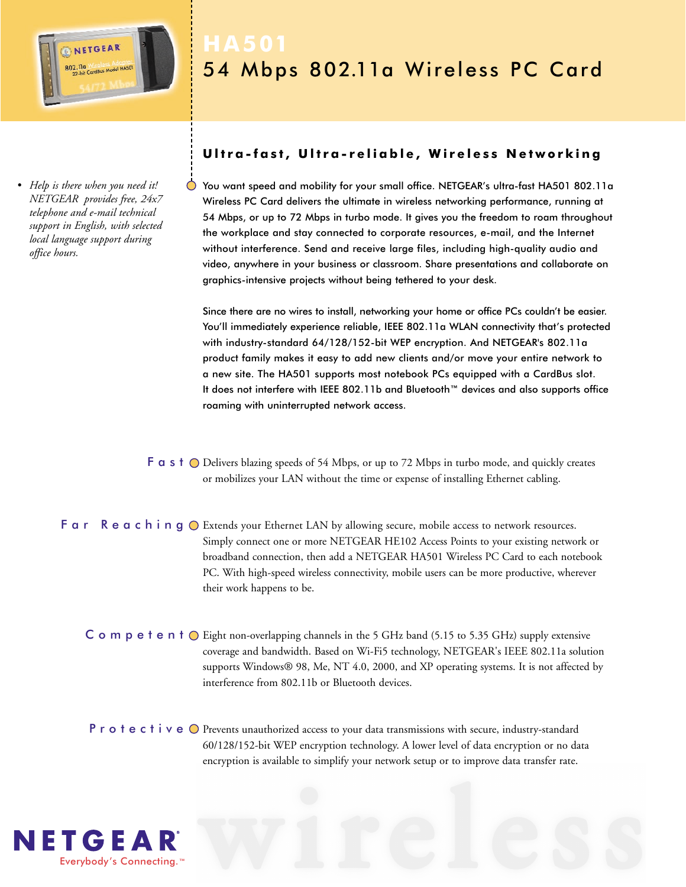

*• Help is there when you need it! NETGEAR provides free, 24x7 telephone and e-mail technical support in English, with selected local language support during office hours.*

# 54 Mbps 802.11a Wireless PC Card

## **Ultra-fast, Ultra-reliable, Wireless Networking**

You want speed and mobility for your small office. NETGEAR's ultra-fast HA501 802.11a Wireless PC Card delivers the ultimate in wireless networking performance, running at 54 Mbps, or up to 72 Mbps in turbo mode. It gives you the freedom to roam throughout the workplace and stay connected to corporate resources, e-mail, and the Internet without interference. Send and receive large files, including high-quality audio and video, anywhere in your business or classroom. Share presentations and collaborate on graphics-intensive projects without being tethered to your desk.

Since there are no wires to install, networking your home or office PCs couldn't be easier. You'll immediately experience reliable, IEEE 802.11a WLAN connectivity that's protected with industry-standard 64/128/152-bit WEP encryption. And NETGEAR's 802.11a product family makes it easy to add new clients and/or move your entire network to a new site. The HA501 supports most notebook PCs equipped with a CardBus slot. It does not interfere with IEEE 802.11b and Bluetooth™ devices and also supports office roaming with uninterrupted network access.

- $F$  a s  $t$   $\bigcirc$  Delivers blazing speeds of 54 Mbps, or up to 72 Mbps in turbo mode, and quickly creates or mobilizes your LAN without the time or expense of installing Ethernet cabling.
- F  $a \rceil$  R  $e \rceil a \rceil$  in  $g \rceil$  Extends your Ethernet LAN by allowing secure, mobile access to network resources. Simply connect one or more NETGEAR HE102 Access Points to your existing network or broadband connection, then add a NETGEAR HA501 Wireless PC Card to each notebook PC. With high-speed wireless connectivity, mobile users can be more productive, wherever their work happens to be.
	- C  $\circ$  m  $\circ$  e t  $\circ$  n t  $\circ$  Eight non-overlapping channels in the 5 GHz band (5.15 to 5.35 GHz) supply extensive coverage and bandwidth. Based on Wi-Fi5 technology, NETGEAR's IEEE 802.11a solution supports Windows® 98, Me, NT 4.0, 2000, and XP operating systems. It is not affected by interference from 802.11b or Bluetooth devices.
	- P r o t e c t i v e  $\bigcirc$  Prevents unauthorized access to your data transmissions with secure, industry-standard 60/128/152-bit WEP encryption technology. A lower level of data encryption or no data encryption is available to simplify your network setup or to improve data transfer rate.